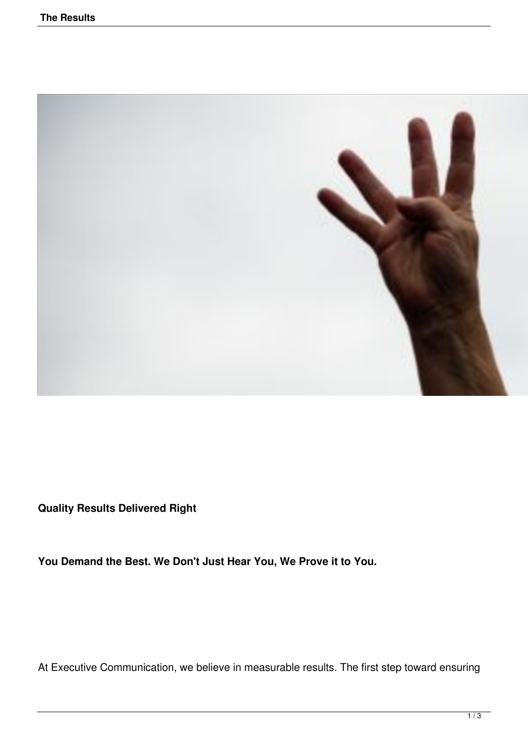

**Quality Results Delivered Right**

**You Demand the Best. We Don't Just Hear You, We Prove it to You.**

At Executive Communication, we believe in measurable results. The first step toward ensuring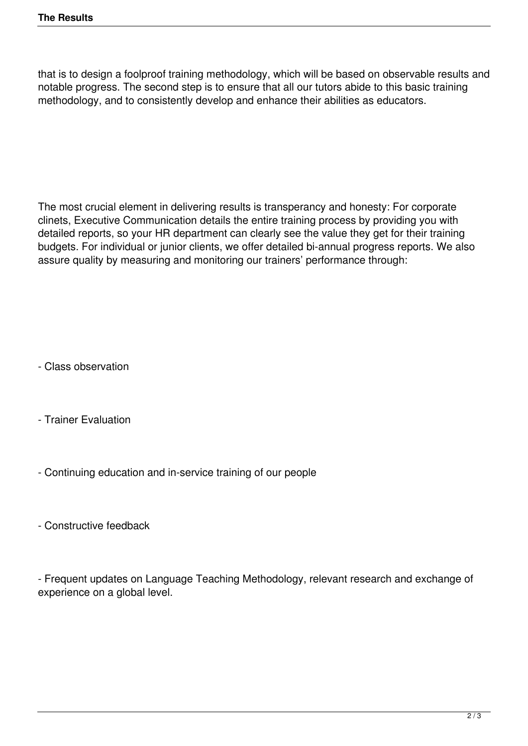that is to design a foolproof training methodology, which will be based on observable results and notable progress. The second step is to ensure that all our tutors abide to this basic training methodology, and to consistently develop and enhance their abilities as educators.

The most crucial element in delivering results is transperancy and honesty: For corporate clinets, Executive Communication details the entire training process by providing you with detailed reports, so your HR department can clearly see the value they get for their training budgets. For individual or junior clients, we offer detailed bi-annual progress reports. We also assure quality by measuring and monitoring our trainers' performance through:

- Class observation

- Trainer Evaluation

- Continuing education and in-service training of our people

- Constructive feedback

- Frequent updates on Language Teaching Methodology, relevant research and exchange of experience on a global level.